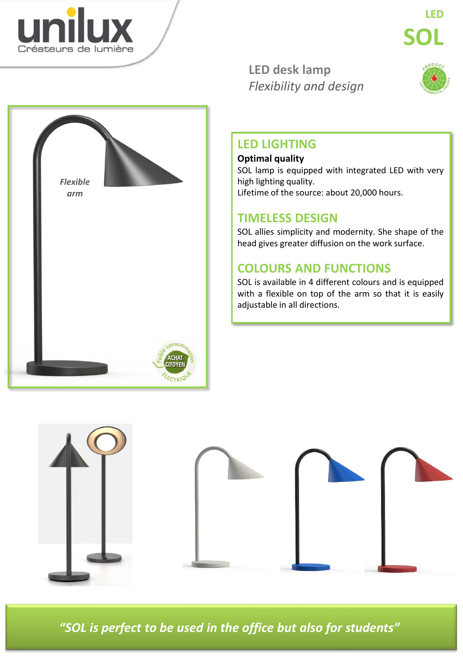

*Flexible arm*

**LED desk lamp** *Flexibility and design*



### **LED LIGHTING**

#### **Optimal quality**

SOL lamp is equipped with integrated LED with very high lighting quality. Lifetime of the source: about 20,000 hours.

### **TIMELESS DESIGN**

SOL allies simplicity and modernity. She shape of the head gives greater diffusion on the work surface.

## **COLOURS AND FUNCTIONS**

SOL is available in 4 different colours and is equipped with a flexible on top of the arm so that it is easily adjustable in all directions.



*"SOL is perfect to be used in the office but also for students"*